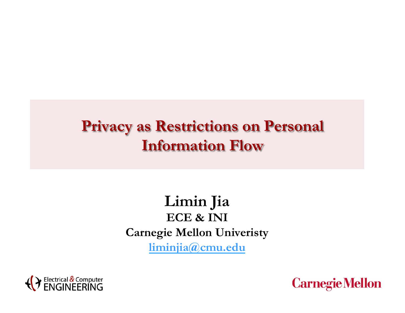### **Limin Jia ECE & INI Carnegie Mellon Univeristy liminjia@cmu.edu**



**Carnegie Mellon**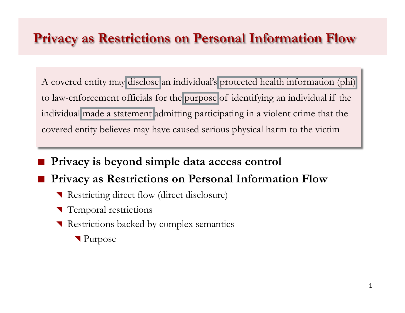A covered entity may disclose an individual's protected health information (phi) to law-enforcement officials for the purpose of identifying an individual if the individual made a statement admitting participating in a violent crime that the covered entity believes may have caused serious physical harm to the victim

- ! **Privacy is beyond simple data access control** 
	- ! **Privacy as Restrictions on Personal Information Flow** 
		- ! Restricting direct flow (direct disclosure)
		- Temporal restrictions
		- Restrictions backed by complex semantics
			- ! Purpose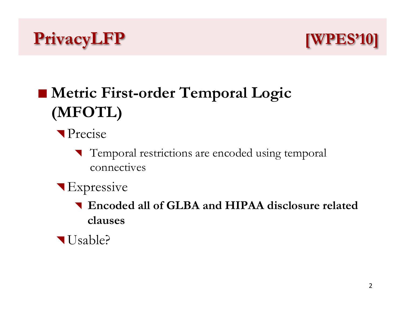



# ■ Metric First-order Temporal Logic **(MFOTL)**

- **Precise** 
	- Temporal restrictions are encoded using temporal connectives
- **Expressive** 
	- ! **Encoded all of GLBA and HIPAA disclosure related clauses**
- Usable?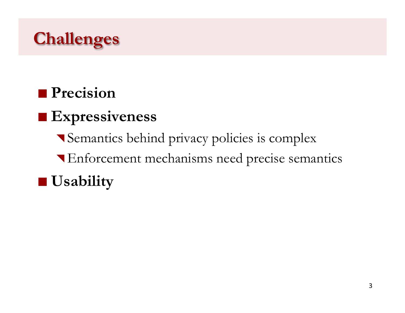

### **Precision**

## ! **Expressiveness**

- ! Semantics behind privacy policies is complex
- ! Enforcement mechanisms need precise semantics

### $\blacksquare$  Usability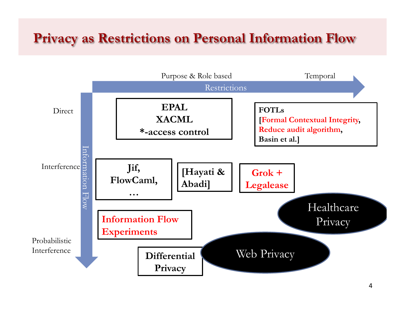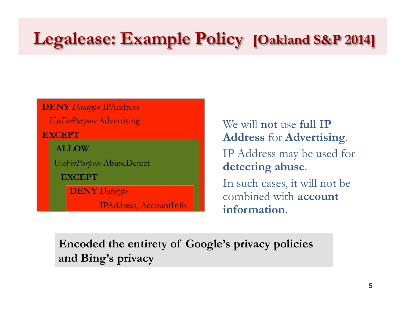# **Legalease: Example Policy [Oakland S&P 2014]**

**DENY** *Datatype* IPAddress

*UseForPurpose* Advertising

**EXCEPT** 

**ALLOW** 

*UseForPurpose* AbuseDetect

**EXCEPT** 

**DENY** *Datatype*

IPAddress, AccountInfo

We will **not** use **full IP Address** for **Advertising**. IP Address may be used for **detecting abuse**. In such cases, it will not be combined with **account** 

**information.** 

**Encoded the entirety of Google's privacy policies and Bing's privacy**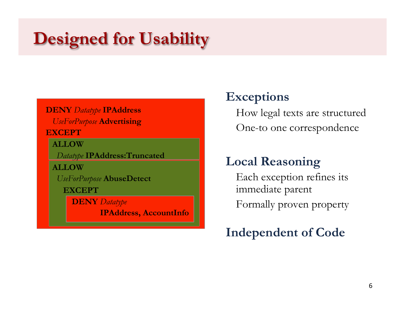# **Designed for Usability**

#### **DENY** *Datatype* **IPAddress** *UseForPurpose* **Advertising**

#### **EXCEPT**

 **ALLOW** 

*Datatype* **IPAddress:Truncated**

 **ALLOW** 

*UseForPurpose* **AbuseDetect**

 **EXCEPT** 

 **DENY** *Datatype*

 **IPAddress, AccountInfo**

#### **Exceptions**

How legal texts are structured One-to one correspondence

### **Local Reasoning**

Each exception refines its immediate parent

Formally proven property

#### **Independent of Code**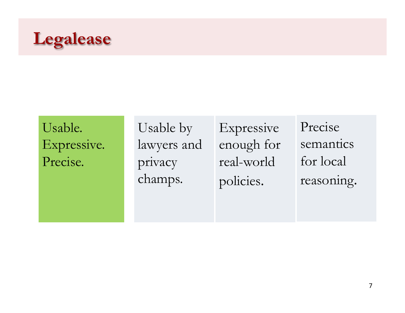

Usable. Expressive. Precise.

Usable by lawyers and privacy champs.

Expressive enough for real-world policies.

Precise semantics for local reasoning.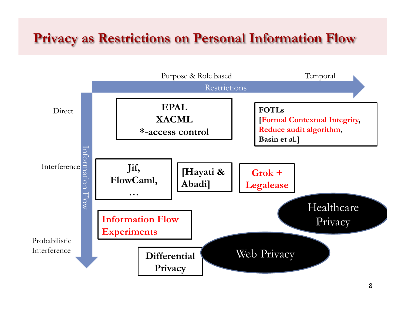